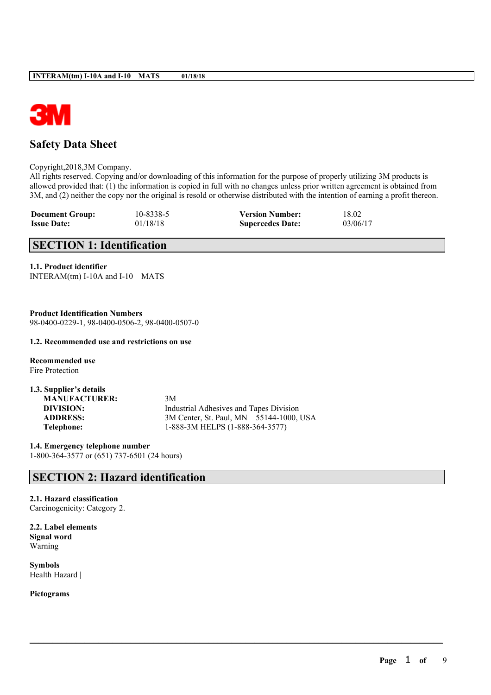

# **Safety Data Sheet**

Copyright,2018,3M Company.

All rights reserved. Copying and/or downloading of this information for the purpose of properly utilizing 3M products is allowed provided that: (1) the information is copied in full with no changes unless prior written agreement is obtained from 3M, and (2) neither the copy nor the original is resold or otherwise distributed with the intention of earning a profit thereon.

 $\mathcal{L}_\mathcal{L} = \mathcal{L}_\mathcal{L} = \mathcal{L}_\mathcal{L} = \mathcal{L}_\mathcal{L} = \mathcal{L}_\mathcal{L} = \mathcal{L}_\mathcal{L} = \mathcal{L}_\mathcal{L} = \mathcal{L}_\mathcal{L} = \mathcal{L}_\mathcal{L} = \mathcal{L}_\mathcal{L} = \mathcal{L}_\mathcal{L} = \mathcal{L}_\mathcal{L} = \mathcal{L}_\mathcal{L} = \mathcal{L}_\mathcal{L} = \mathcal{L}_\mathcal{L} = \mathcal{L}_\mathcal{L} = \mathcal{L}_\mathcal{L}$ 

| <b>Document Group:</b> | 10-8338-5 | <b>Version Number:</b>  | 18.02    |
|------------------------|-----------|-------------------------|----------|
| <b>Issue Date:</b>     | 01/18/18  | <b>Supercedes Date:</b> | 03/06/17 |

# **SECTION 1: Identification**

#### **1.1. Product identifier**

| INTERAM(tm) I-10A and I-10 MATS |  |  |  |
|---------------------------------|--|--|--|
|---------------------------------|--|--|--|

**Product Identification Numbers** 98-0400-0229-1, 98-0400-0506-2, 98-0400-0507-0

#### **1.2. Recommended use and restrictions on use**

**Recommended use** Fire Protection

| 1.3. Supplier's details |                                         |
|-------------------------|-----------------------------------------|
| <b>MANUFACTURER:</b>    | 3M                                      |
| DIVISION:               | Industrial Adhesives and Tapes Division |
| <b>ADDRESS:</b>         | 3M Center, St. Paul, MN 55144-1000, USA |
| Telephone:              | 1-888-3M HELPS (1-888-364-3577)         |

**1.4. Emergency telephone number** 1-800-364-3577 or (651) 737-6501 (24 hours)

# **SECTION 2: Hazard identification**

#### **2.1. Hazard classification**

Carcinogenicity: Category 2.

**2.2. Label elements Signal word** Warning

**Symbols** Health Hazard |

**Pictograms**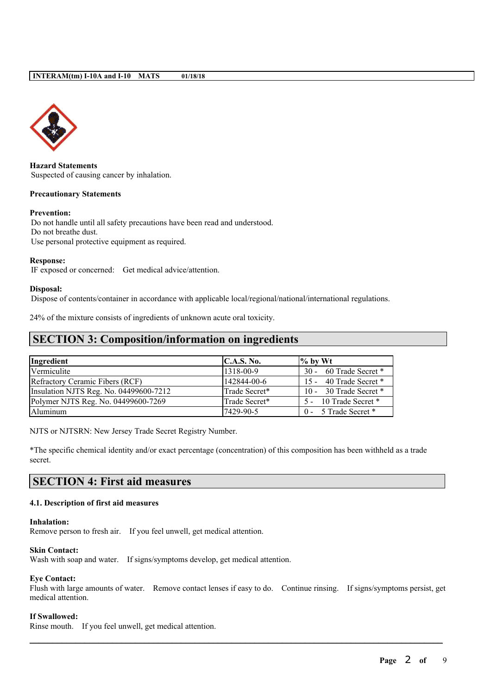

**Hazard Statements** Suspected of causing cancer by inhalation.

#### **Precautionary Statements**

#### **Prevention:**

Do not handle until all safety precautions have been read and understood. Do not breathe dust. Use personal protective equipment as required.

#### **Response:**

IF exposed or concerned: Get medical advice/attention.

#### **Disposal:**

Dispose of contents/container in accordance with applicable local/regional/national/international regulations.

24% of the mixture consists of ingredients of unknown acute oral toxicity.

### **SECTION 3: Composition/information on ingredients**

| Ingredient                             | <b>C.A.S. No.</b> | $\frac{1}{2}$ by Wt    |
|----------------------------------------|-------------------|------------------------|
| Vermiculite                            | 1318-00-9         | 30 - 60 Trade Secret * |
| Refractory Ceramic Fibers (RCF)        | 142844-00-6       | 15 - 40 Trade Secret * |
| Insulation NJTS Reg. No. 04499600-7212 | Trade Secret*     | 10 - 30 Trade Secret * |
| Polymer NJTS Reg. No. 04499600-7269    | Trade Secret*     | 5 - 10 Trade Secret *  |
| Aluminum                               | 17429-90-5        | 0 - 5 Trade Secret *   |

NJTS or NJTSRN: New Jersey Trade Secret Registry Number.

\*The specific chemical identity and/or exact percentage (concentration) of this composition has been withheld as a trade secret.

### **SECTION 4: First aid measures**

#### **4.1. Description of first aid measures**

#### **Inhalation:**

Remove person to fresh air. If you feel unwell, get medical attention.

#### **Skin Contact:**

Wash with soap and water. If signs/symptoms develop, get medical attention.

#### **Eye Contact:**

Flush with large amounts of water. Remove contact lenses if easy to do. Continue rinsing. If signs/symptoms persist, get medical attention.

 $\mathcal{L}_\mathcal{L} = \mathcal{L}_\mathcal{L} = \mathcal{L}_\mathcal{L} = \mathcal{L}_\mathcal{L} = \mathcal{L}_\mathcal{L} = \mathcal{L}_\mathcal{L} = \mathcal{L}_\mathcal{L} = \mathcal{L}_\mathcal{L} = \mathcal{L}_\mathcal{L} = \mathcal{L}_\mathcal{L} = \mathcal{L}_\mathcal{L} = \mathcal{L}_\mathcal{L} = \mathcal{L}_\mathcal{L} = \mathcal{L}_\mathcal{L} = \mathcal{L}_\mathcal{L} = \mathcal{L}_\mathcal{L} = \mathcal{L}_\mathcal{L}$ 

#### **If Swallowed:**

Rinse mouth. If you feel unwell, get medical attention.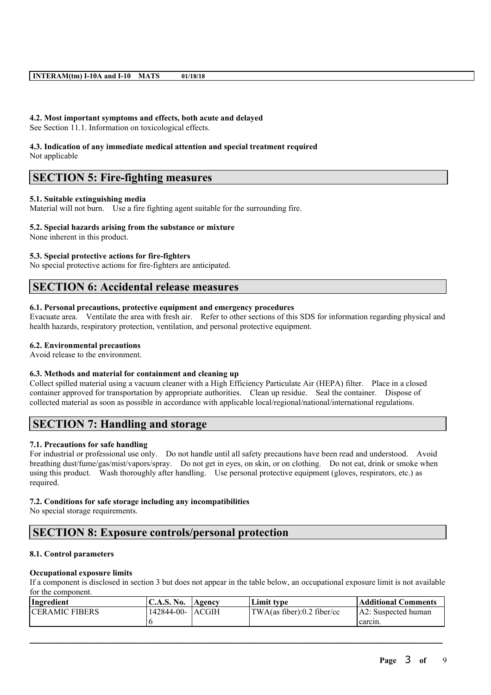#### **4.2. Most important symptoms and effects, both acute and delayed**

See Section 11.1. Information on toxicological effects.

# **4.3. Indication of any immediate medical attention and special treatment required**

Not applicable

# **SECTION 5: Fire-fighting measures**

#### **5.1. Suitable extinguishing media**

Material will not burn. Use a fire fighting agent suitable for the surrounding fire.

#### **5.2. Special hazards arising from the substance or mixture**

None inherent in this product.

#### **5.3. Special protective actions for fire-fighters**

No special protective actions for fire-fighters are anticipated.

### **SECTION 6: Accidental release measures**

#### **6.1. Personal precautions, protective equipment and emergency procedures**

Evacuate area. Ventilate the area with fresh air. Refer to other sections of this SDS for information regarding physical and health hazards, respiratory protection, ventilation, and personal protective equipment.

#### **6.2. Environmental precautions**

Avoid release to the environment.

#### **6.3. Methods and material for containment and cleaning up**

Collect spilled material using a vacuum cleaner with a High Efficiency Particulate Air (HEPA) filter. Place in a closed container approved for transportation by appropriate authorities. Clean up residue. Seal the container. Dispose of collected material as soon as possible in accordance with applicable local/regional/national/international regulations.

# **SECTION 7: Handling and storage**

#### **7.1. Precautions for safe handling**

For industrial or professional use only. Do not handle until all safety precautions have been read and understood. Avoid breathing dust/fume/gas/mist/vapors/spray. Do not get in eyes, on skin, or on clothing. Do not eat, drink or smoke when using this product. Wash thoroughly after handling. Use personal protective equipment (gloves, respirators, etc.) as required.

#### **7.2. Conditions for safe storage including any incompatibilities**

No special storage requirements.

# **SECTION 8: Exposure controls/personal protection**

#### **8.1. Control parameters**

#### **Occupational exposure limits**

If a component is disclosed in section 3 but does not appear in the table below, an occupational exposure limit is not available for the component.

| Ingredient            | C.A.S. No.        | Agency | Limit tvpe                 | Additional Comments |
|-----------------------|-------------------|--------|----------------------------|---------------------|
| <b>CERAMIC FIBERS</b> | 142844-00- LACGIH |        | TWA(as fiber):0.2 fiber/cc | A2: Suspected human |
|                       |                   |        |                            | carcin.             |

 $\mathcal{L}_\mathcal{L} = \mathcal{L}_\mathcal{L} = \mathcal{L}_\mathcal{L} = \mathcal{L}_\mathcal{L} = \mathcal{L}_\mathcal{L} = \mathcal{L}_\mathcal{L} = \mathcal{L}_\mathcal{L} = \mathcal{L}_\mathcal{L} = \mathcal{L}_\mathcal{L} = \mathcal{L}_\mathcal{L} = \mathcal{L}_\mathcal{L} = \mathcal{L}_\mathcal{L} = \mathcal{L}_\mathcal{L} = \mathcal{L}_\mathcal{L} = \mathcal{L}_\mathcal{L} = \mathcal{L}_\mathcal{L} = \mathcal{L}_\mathcal{L}$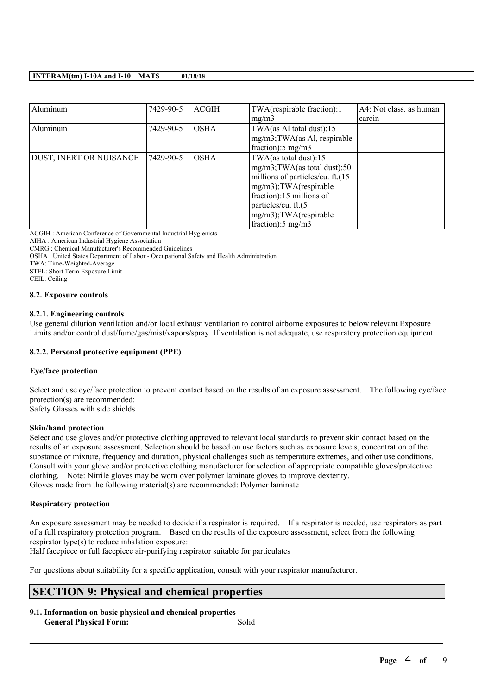| Aluminum                | 7429-90-5 | <b>ACGIH</b><br>TWA(respirable fraction):1 |                                  | A4: Not class. as human |
|-------------------------|-----------|--------------------------------------------|----------------------------------|-------------------------|
|                         |           |                                            | mg/m3                            | carcin                  |
| Aluminum                | 7429-90-5 | <b>OSHA</b>                                | TWA(as Al total dust):15         |                         |
|                         |           |                                            | mg/m3;TWA(as Al, respirable      |                         |
|                         |           |                                            | fraction): $5 \text{ mg/m}$ 3    |                         |
| DUST, INERT OR NUISANCE | 7429-90-5 | <b>OSHA</b>                                | TWA(as total dust):15            |                         |
|                         |           |                                            | mg/m3;TWA(as total dust):50      |                         |
|                         |           |                                            | millions of particles/cu. ft.(15 |                         |
|                         |           |                                            | mg/m3);TWA(respirable            |                         |
|                         |           |                                            | fraction):15 millions of         |                         |
|                         |           |                                            | particles/cu. ft.(5              |                         |
|                         |           |                                            | mg/m3); TWA(respirable           |                         |
|                         |           |                                            | fraction): $5 \text{ mg/m}$ 3    |                         |

ACGIH : American Conference of Governmental Industrial Hygienists

AIHA : American Industrial Hygiene Association

CMRG : Chemical Manufacturer's Recommended Guidelines

OSHA : United States Department of Labor - Occupational Safety and Health Administration

TWA: Time-Weighted-Average

STEL: Short Term Exposure Limit

CEIL: Ceiling

#### **8.2. Exposure controls**

#### **8.2.1. Engineering controls**

Use general dilution ventilation and/or local exhaust ventilation to control airborne exposures to below relevant Exposure Limits and/or control dust/fume/gas/mist/vapors/spray. If ventilation is not adequate, use respiratory protection equipment.

#### **8.2.2. Personal protective equipment (PPE)**

#### **Eye/face protection**

Select and use eye/face protection to prevent contact based on the results of an exposure assessment. The following eye/face protection(s) are recommended:

Safety Glasses with side shields

#### **Skin/hand protection**

Select and use gloves and/or protective clothing approved to relevant local standards to prevent skin contact based on the results of an exposure assessment. Selection should be based on use factors such as exposure levels, concentration of the substance or mixture, frequency and duration, physical challenges such as temperature extremes, and other use conditions. Consult with your glove and/or protective clothing manufacturer for selection of appropriate compatible gloves/protective clothing. Note: Nitrile gloves may be worn over polymer laminate gloves to improve dexterity. Gloves made from the following material(s) are recommended: Polymer laminate

#### **Respiratory protection**

An exposure assessment may be needed to decide if a respirator is required. If a respirator is needed, use respirators as part of a full respiratory protection program. Based on the results of the exposure assessment, select from the following respirator type(s) to reduce inhalation exposure:

Half facepiece or full facepiece air-purifying respirator suitable for particulates

For questions about suitability for a specific application, consult with your respirator manufacturer.

# **SECTION 9: Physical and chemical properties**

**9.1. Information on basic physical and chemical properties General Physical Form:** Solid

 $\mathcal{L}_\mathcal{L} = \mathcal{L}_\mathcal{L} = \mathcal{L}_\mathcal{L} = \mathcal{L}_\mathcal{L} = \mathcal{L}_\mathcal{L} = \mathcal{L}_\mathcal{L} = \mathcal{L}_\mathcal{L} = \mathcal{L}_\mathcal{L} = \mathcal{L}_\mathcal{L} = \mathcal{L}_\mathcal{L} = \mathcal{L}_\mathcal{L} = \mathcal{L}_\mathcal{L} = \mathcal{L}_\mathcal{L} = \mathcal{L}_\mathcal{L} = \mathcal{L}_\mathcal{L} = \mathcal{L}_\mathcal{L} = \mathcal{L}_\mathcal{L}$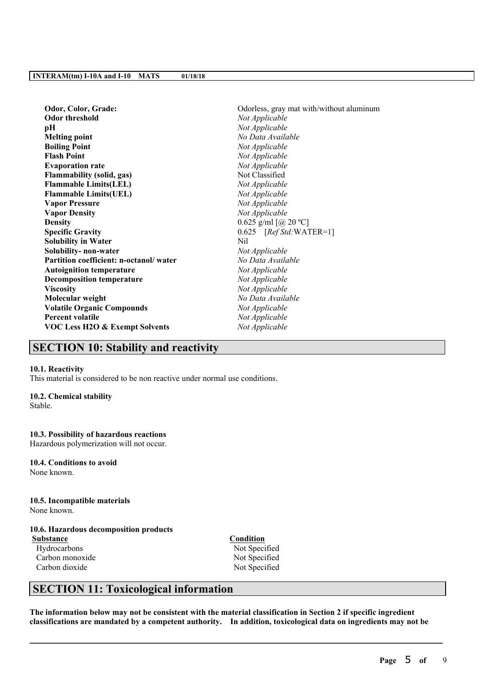| Odor, Color, Grade:                    | Odorless, gray mat with/without aluminum |
|----------------------------------------|------------------------------------------|
| <b>Odor threshold</b>                  | Not Applicable                           |
| pН                                     | Not Applicable                           |
| <b>Melting point</b>                   | No Data Available                        |
| <b>Boiling Point</b>                   | Not Applicable                           |
| <b>Flash Point</b>                     | Not Applicable                           |
| <b>Evaporation rate</b>                | Not Applicable                           |
| <b>Flammability (solid, gas)</b>       | Not Classified                           |
| <b>Flammable Limits(LEL)</b>           | Not Applicable                           |
| <b>Flammable Limits(UEL)</b>           | Not Applicable                           |
| <b>Vapor Pressure</b>                  | Not Applicable                           |
| <b>Vapor Density</b>                   | Not Applicable                           |
| <b>Density</b>                         | 0.625 g/ml $[@ 20 °C]$                   |
| <b>Specific Gravity</b>                | $0.625$ [Ref Std:WATER=1]                |
| <b>Solubility in Water</b>             | Nil                                      |
| Solubility- non-water                  | Not Applicable                           |
| Partition coefficient: n-octanol/water | No Data Available                        |
| <b>Autoignition temperature</b>        | Not Applicable                           |
| <b>Decomposition temperature</b>       | Not Applicable                           |
| <b>Viscosity</b>                       | Not Applicable                           |
| Molecular weight                       | No Data Available                        |
| <b>Volatile Organic Compounds</b>      | Not Applicable                           |
| <b>Percent volatile</b>                | Not Applicable                           |
| VOC Less H2O & Exempt Solvents         | Not Applicable                           |
|                                        |                                          |

### **SECTION 10: Stability and reactivity**

#### **10.1. Reactivity**

This material is considered to be non reactive under normal use conditions.

#### **10.2. Chemical stability**

Stable.

#### **10.3. Possibility of hazardous reactions**

Hazardous polymerization will not occur.

**10.4. Conditions to avoid** None known.

#### **10.5. Incompatible materials**

None known.

### **10.6. Hazardous decomposition products**

**Substance Condition**<br> **Condition**<br> **Condition**<br> **Condition** Carbon monoxide Not Specified Carbon dioxide Not Specified

Not Specified

# **SECTION 11: Toxicological information**

The information below may not be consistent with the material classification in Section 2 if specific ingredient **classifications are mandated by a competent authority. In addition, toxicological data on ingredients may not be**

 $\mathcal{L}_\mathcal{L} = \mathcal{L}_\mathcal{L} = \mathcal{L}_\mathcal{L} = \mathcal{L}_\mathcal{L} = \mathcal{L}_\mathcal{L} = \mathcal{L}_\mathcal{L} = \mathcal{L}_\mathcal{L} = \mathcal{L}_\mathcal{L} = \mathcal{L}_\mathcal{L} = \mathcal{L}_\mathcal{L} = \mathcal{L}_\mathcal{L} = \mathcal{L}_\mathcal{L} = \mathcal{L}_\mathcal{L} = \mathcal{L}_\mathcal{L} = \mathcal{L}_\mathcal{L} = \mathcal{L}_\mathcal{L} = \mathcal{L}_\mathcal{L}$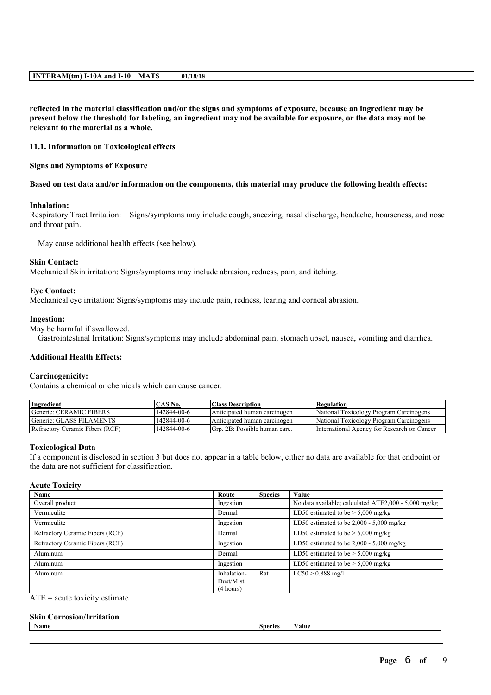reflected in the material classification and/or the signs and symptoms of exposure, because an ingredient may be present below the threshold for labeling, an ingredient may not be available for exposure, or the data may not be **relevant to the material as a whole.**

#### **11.1. Information on Toxicological effects**

#### **Signs and Symptoms of Exposure**

#### Based on test data and/or information on the components, this material may produce the following health effects:

#### **Inhalation:**

Respiratory Tract Irritation: Signs/symptoms may include cough, sneezing, nasal discharge, headache, hoarseness, and nose and throat pain.

May cause additional health effects (see below).

#### **Skin Contact:**

Mechanical Skin irritation: Signs/symptoms may include abrasion, redness, pain, and itching.

#### **Eye Contact:**

Mechanical eye irritation: Signs/symptoms may include pain, redness, tearing and corneal abrasion.

#### **Ingestion:**

May be harmful if swallowed.

Gastrointestinal Irritation: Signs/symptoms may include abdominal pain, stomach upset, nausea, vomiting and diarrhea.

#### **Additional Health Effects:**

#### **Carcinogenicity:**

Contains a chemical or chemicals which can cause cancer.

| Ingredient                      | ^AS No.     | Class Description             | Regulation                                  |
|---------------------------------|-------------|-------------------------------|---------------------------------------------|
| Generic: CERAMIC FIBERS         | 142844-00-6 | Anticipated human carcinogen  | National Toxicology Program Carcinogens     |
| Generic: GLASS FILAMENTS        | 142844-00-6 | Anticipated human carcinogen  | National Toxicology Program Carcinogens     |
| Refractory Ceramic Fibers (RCF) | 142844-00-6 | Grp. 2B: Possible human carc. | International Agency for Research on Cancer |

#### **Toxicological Data**

If a component is disclosed in section 3 but does not appear in a table below, either no data are available for that endpoint or the data are not sufficient for classification.

#### **Acute Toxicity**

| Name                            | Route       | <b>Species</b> | Value                                                |
|---------------------------------|-------------|----------------|------------------------------------------------------|
| Overall product                 | Ingestion   |                | No data available; calculated ATE2,000 - 5,000 mg/kg |
| Vermiculite                     | Dermal      |                | LD50 estimated to be $>$ 5,000 mg/kg                 |
| Vermiculite                     | Ingestion   |                | LD50 estimated to be 2,000 - 5,000 mg/kg             |
| Refractory Ceramic Fibers (RCF) | Dermal      |                | LD50 estimated to be $>$ 5,000 mg/kg                 |
| Refractory Ceramic Fibers (RCF) | Ingestion   |                | LD50 estimated to be $2,000 - 5,000$ mg/kg           |
| Aluminum                        | Dermal      |                | LD50 estimated to be $> 5,000$ mg/kg                 |
| Aluminum                        | Ingestion   |                | LD50 estimated to be $> 5,000$ mg/kg                 |
| Aluminum                        | Inhalation- | Rat            | $LC50 > 0.888$ mg/l                                  |
|                                 | Dust/Mist   |                |                                                      |
|                                 | (4 hours)   |                |                                                      |

#### $ATE = acute$  toxicity estimate

#### **Skin Corrosion/Irritation**

| - 11<br>Name | $\sim$ $\sim$ $\sim$ | 9H. |
|--------------|----------------------|-----|
|              |                      |     |
|              |                      |     |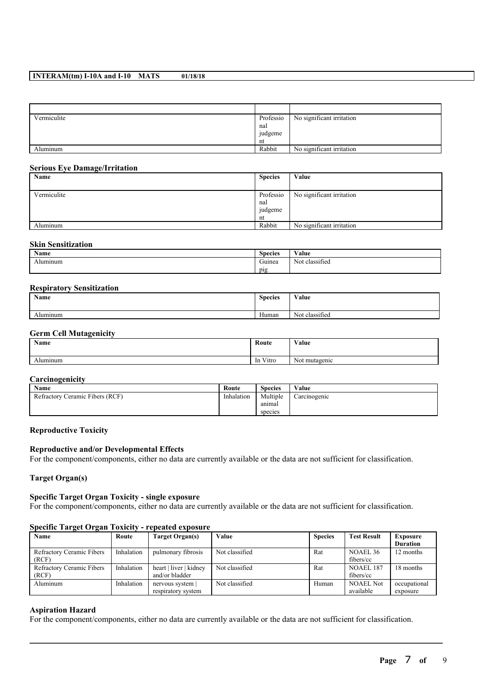| Vermiculite | Professio | No significant irritation |
|-------------|-----------|---------------------------|
|             | nal       |                           |
|             | judgeme   |                           |
|             | nt        |                           |
| Aluminum    | Rabbit    | No significant irritation |

#### **Serious Eye Damage/Irritation**

| Name        | <b>Species</b> | Value                     |
|-------------|----------------|---------------------------|
|             |                |                           |
| Vermiculite | Professio      | No significant irritation |
|             | nal            |                           |
|             | judgeme        |                           |
|             | nt             |                           |
| Aluminum    | Rabbit         | No significant irritation |

#### **Skin Sensitization**

| Name     | <b>Species</b> | $\mathbf{v}$<br>'alue                     |
|----------|----------------|-------------------------------------------|
| Alumınum | Guinea         | $\sim$<br>$\sim$ $\sim$<br>Not classified |
|          | pig            |                                           |

#### **Respiratory Sensitization**

| Name     | <b>Species</b> | Value          |
|----------|----------------|----------------|
| Alumınum | Human          | Not classified |

#### **Germ Cell Mutagenicity**

| <b>Name</b> | Route    | Value                |
|-------------|----------|----------------------|
| Aluminum    | In Vitro | . .<br>Not mutagenic |

### **Carcinogenicity**

| Name                            | Route      | <b>Species</b> | Value        |
|---------------------------------|------------|----------------|--------------|
| Refractory Ceramic Fibers (RCF) | Inhalation | Multiple       | Carcinogenic |
|                                 |            | anımal         |              |
|                                 |            | species        |              |

#### **Reproductive Toxicity**

#### **Reproductive and/or Developmental Effects**

For the component/components, either no data are currently available or the data are not sufficient for classification.

**Target Organ(s)**

#### **Specific Target Organ Toxicity - single exposure**

For the component/components, either no data are currently available or the data are not sufficient for classification.

#### **Specific Target Organ Toxicity - repeated exposure**

| Name                      | Route      | Target Organ(s)        | Value          | <b>Species</b> | <b>Test Result</b> | <b>Exposure</b> |
|---------------------------|------------|------------------------|----------------|----------------|--------------------|-----------------|
|                           |            |                        |                |                |                    | <b>Duration</b> |
| Refractory Ceramic Fibers | Inhalation | pulmonary fibrosis     | Not classified | Rat            | NOAEL 36           | 12 months       |
| (RCF)                     |            |                        |                |                | fibers/cc          |                 |
| Refractory Ceramic Fibers | Inhalation | heart   liver   kidney | Not classified | Rat            | NOAEL 187          | 18 months       |
| (RCF)                     |            | and/or bladder         |                |                | fibers/cc          |                 |
| Aluminum                  | Inhalation | nervous system         | Not classified | Human          | <b>NOAEL Not</b>   | occupational    |
|                           |            | respiratory system     |                |                | available          | exposure        |

 $\mathcal{L}_\mathcal{L} = \mathcal{L}_\mathcal{L} = \mathcal{L}_\mathcal{L} = \mathcal{L}_\mathcal{L} = \mathcal{L}_\mathcal{L} = \mathcal{L}_\mathcal{L} = \mathcal{L}_\mathcal{L} = \mathcal{L}_\mathcal{L} = \mathcal{L}_\mathcal{L} = \mathcal{L}_\mathcal{L} = \mathcal{L}_\mathcal{L} = \mathcal{L}_\mathcal{L} = \mathcal{L}_\mathcal{L} = \mathcal{L}_\mathcal{L} = \mathcal{L}_\mathcal{L} = \mathcal{L}_\mathcal{L} = \mathcal{L}_\mathcal{L}$ 

#### **Aspiration Hazard**

For the component/components, either no data are currently available or the data are not sufficient for classification.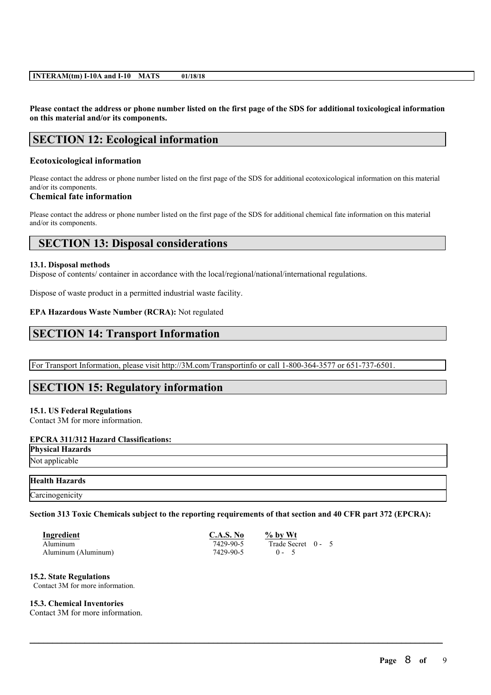Please contact the address or phone number listed on the first page of the SDS for additional toxicological information **on this material and/or its components.**

# **SECTION 12: Ecological information**

#### **Ecotoxicological information**

Please contact the address or phone number listed on the first page of the SDS for additional ecotoxicological information on this material and/or its components.

#### **Chemical fate information**

Please contact the address or phone number listed on the first page of the SDS for additional chemical fate information on this material and/or its components.

### **SECTION 13: Disposal considerations**

#### **13.1. Disposal methods**

Dispose of contents/ container in accordance with the local/regional/national/international regulations.

Dispose of waste product in a permitted industrial waste facility.

#### **EPA Hazardous Waste Number (RCRA):** Not regulated

### **SECTION 14: Transport Information**

For Transport Information, please visit http://3M.com/Transportinfo or call 1-800-364-3577 or 651-737-6501.

### **SECTION 15: Regulatory information**

#### **15.1. US Federal Regulations**

Contact 3M for more information.

#### **EPCRA 311/312 Hazard Classifications:**

**Physical Hazards**

# Not applicable

#### **Health Hazards**

**Carcinogenicity** 

Section 313 Toxic Chemicals subject to the reporting requirements of that section and 40 CFR part 372 (EPCRA):

 $\mathcal{L}_\mathcal{L} = \mathcal{L}_\mathcal{L} = \mathcal{L}_\mathcal{L} = \mathcal{L}_\mathcal{L} = \mathcal{L}_\mathcal{L} = \mathcal{L}_\mathcal{L} = \mathcal{L}_\mathcal{L} = \mathcal{L}_\mathcal{L} = \mathcal{L}_\mathcal{L} = \mathcal{L}_\mathcal{L} = \mathcal{L}_\mathcal{L} = \mathcal{L}_\mathcal{L} = \mathcal{L}_\mathcal{L} = \mathcal{L}_\mathcal{L} = \mathcal{L}_\mathcal{L} = \mathcal{L}_\mathcal{L} = \mathcal{L}_\mathcal{L}$ 

| Ingredient          | C.A.S. No | $%$ by Wt          |  |
|---------------------|-----------|--------------------|--|
| Aluminum            | 7429-90-5 | Trade Secret 0 - 5 |  |
| Aluminum (Aluminum) | 7429-90-5 | $0 - 5$            |  |

#### **15.2. State Regulations**

Contact 3M for more information.

#### **15.3. Chemical Inventories**

Contact 3M for more information.